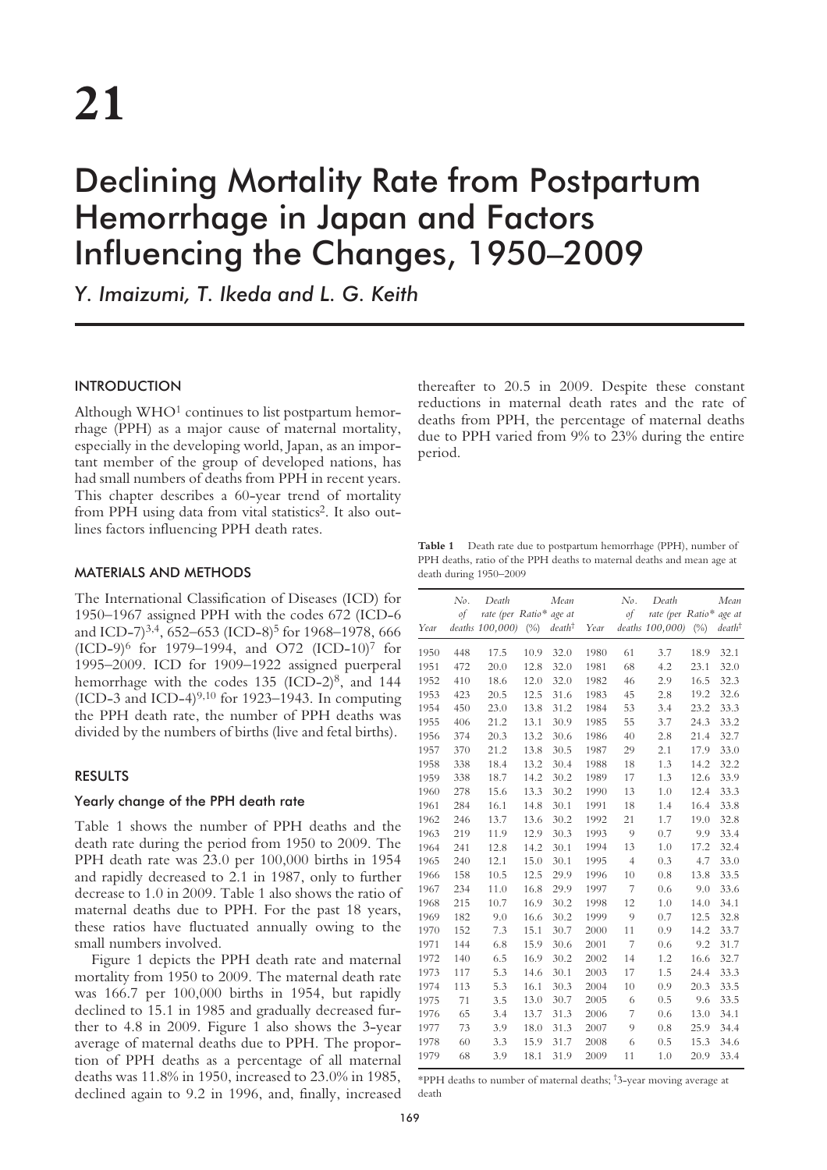# Declining Mortality Rate from Postpartum Hemorrhage in Japan and Factors Influencing the Changes, 1950–2009

*Y. Imaizumi, T. Ikeda and L. G. Keith*

## **INTRODUCTION**

Although  $WHO<sup>1</sup>$  continues to list postpartum hemorrhage (PPH) as a major cause of maternal mortality, especially in the developing world, Japan, as an important member of the group of developed nations, has had small numbers of deaths from PPH in recent years. This chapter describes a 60-year trend of mortality from PPH using data from vital statistics<sup>2</sup>. It also outlines factors influencing PPH death rates.

## MATERIALS AND METHODS

The International Classification of Diseases (ICD) for 1950–1967 assigned PPH with the codes 672 (ICD-6 and ICD-7)<sup>3,4</sup>, 652–653 (ICD-8)<sup>5</sup> for 1968–1978, 666  $(ICD-9)^6$  for 1979–1994, and O72  $(ICD-10)^7$  for 1995–2009. ICD for 1909–1922 assigned puerperal hemorrhage with the codes 135 (ICD-2)<sup>8</sup>, and 144 (ICD-3 and ICD-4) $9,10$  for 1923–1943. In computing the PPH death rate, the number of PPH deaths was divided by the numbers of births (live and fetal births).

### RESULTS

## Yearly change of the PPH death rate

Table 1 shows the number of PPH deaths and the death rate during the period from 1950 to 2009. The PPH death rate was 23.0 per 100,000 births in 1954 and rapidly decreased to 2.1 in 1987, only to further decrease to 1.0 in 2009. Table 1 also shows the ratio of maternal deaths due to PPH. For the past 18 years, these ratios have fluctuated annually owing to the small numbers involved.

Figure 1 depicts the PPH death rate and maternal mortality from 1950 to 2009. The maternal death rate was 166.7 per 100,000 births in 1954, but rapidly declined to 15.1 in 1985 and gradually decreased further to 4.8 in 2009. Figure 1 also shows the 3-year average of maternal deaths due to PPH. The proportion of PPH deaths as a percentage of all maternal deaths was 11.8% in 1950, increased to 23.0% in 1985, declined again to 9.2 in 1996, and, finally, increased

thereafter to 20.5 in 2009. Despite these constant reductions in maternal death rates and the rate of deaths from PPH, the percentage of maternal deaths due to PPH varied from 9% to 23% during the entire period.

**Table 1** Death rate due to postpartum hemorrhage (PPH), number of PPH deaths, ratio of the PPH deaths to maternal deaths and mean age at death during 1950–2009

|      | No. | Death            |        | Mean              |      | No.            | Death            |        | Mean              |
|------|-----|------------------|--------|-------------------|------|----------------|------------------|--------|-------------------|
|      | of  | rate (per Ratio* |        | age at            |      | $\mathcal{A}$  | rate (per Ratio* |        | age at            |
| Year |     | deaths 100,000)  | $(\%)$ | $death^{\dagger}$ | Year |                | deaths 100,000)  | $(\%)$ | $death^{\dagger}$ |
| 1950 | 448 | 17.5             | 10.9   | 32.0              | 1980 | 61             | 3.7              | 18.9   | 32.1              |
| 1951 | 472 | 20.0             | 12.8   | 32.0              | 1981 | 68             | 4.2              | 23.1   | 32.0              |
| 1952 | 410 | 18.6             | 12.0   | 32.0              | 1982 | 46             | 2.9              | 16.5   | 32.3              |
| 1953 | 423 | 20.5             | 12.5   | 31.6              | 1983 | 45             | 2.8              | 19.2   | 32.6              |
| 1954 | 450 | 23.0             | 13.8   | 31.2              | 1984 | 53             | 3.4              | 23.2   | 33.3              |
| 1955 | 406 | 21.2             | 13.1   | 30.9              | 1985 | 55             | 3.7              | 24.3   | 33.2              |
| 1956 | 374 | 20.3             | 13.2   | 30.6              | 1986 | 40             | 2.8              | 21.4   | 32.7              |
| 1957 | 370 | 21.2             | 13.8   | 30.5              | 1987 | 29             | 2.1              | 17.9   | 33.0              |
| 1958 | 338 | 18.4             | 13.2   | 30.4              | 1988 | 18             | 1.3              | 14.2   | 32.2              |
| 1959 | 338 | 18.7             | 14.2   | 30.2              | 1989 | 17             | 1.3              | 12.6   | 33.9              |
| 1960 | 278 | 15.6             | 13.3   | 30.2              | 1990 | 13             | 1.0              | 12.4   | 33.3              |
| 1961 | 284 | 16.1             | 14.8   | 30.1              | 1991 | 18             | 1.4              | 16.4   | 33.8              |
| 1962 | 246 | 13.7             | 13.6   | 30.2              | 1992 | 21             | 1.7              | 19.0   | 32.8              |
| 1963 | 219 | 11.9             | 12.9   | 30.3              | 1993 | 9              | 0.7              | 9.9    | 33.4              |
| 1964 | 241 | 12.8             | 14.2   | 30.1              | 1994 | 13             | 1.0              | 17.2   | 32.4              |
| 1965 | 240 | 12.1             | 15.0   | 30.1              | 1995 | $\overline{4}$ | 0.3              | 4.7    | 33.0              |
| 1966 | 158 | 10.5             | 12.5   | 29.9              | 1996 | 10             | 0.8              | 13.8   | 33.5              |
| 1967 | 234 | 11.0             | 16.8   | 29.9              | 1997 | 7              | 0.6              | 9.0    | 33.6              |
| 1968 | 215 | 10.7             | 16.9   | 30.2              | 1998 | 12             | 1.0              | 14.0   | 34.1              |
| 1969 | 182 | 9.0              | 16.6   | 30.2              | 1999 | 9              | 0.7              | 12.5   | 32.8              |
| 1970 | 152 | 7.3              | 15.1   | 30.7              | 2000 | 11             | 0.9              | 14.2   | 33.7              |
| 1971 | 144 | 6.8              | 15.9   | 30.6              | 2001 | 7              | 0.6              | 9.2    | 31.7              |
| 1972 | 140 | 6.5              | 16.9   | 30.2              | 2002 | 14             | 1.2              | 16.6   | 32.7              |
| 1973 | 117 | 5.3              | 14.6   | 30.1              | 2003 | 17             | 1.5              | 24.4   | 33.3              |
| 1974 | 113 | 5.3              | 16.1   | 30.3              | 2004 | 10             | 0.9              | 20.3   | 33.5              |
| 1975 | 71  | 3.5              | 13.0   | 30.7              | 2005 | 6              | 0.5              | 9.6    | 33.5              |
| 1976 | 65  | 3.4              | 13.7   | 31.3              | 2006 | 7              | 0.6              | 13.0   | 34.1              |
| 1977 | 73  | 3.9              | 18.0   | 31.3              | 2007 | 9              | 0.8              | 25.9   | 34.4              |
| 1978 | 60  | 3.3              | 15.9   | 31.7              | 2008 | 6              | 0.5              | 15.3   | 34.6              |
| 1979 | 68  | 3.9              | 18.1   | 31.9              | 2009 | 11             | 1.0              | 20.9   | 33.4              |

\*PPH deaths to number of maternal deaths; † 3-year moving average at death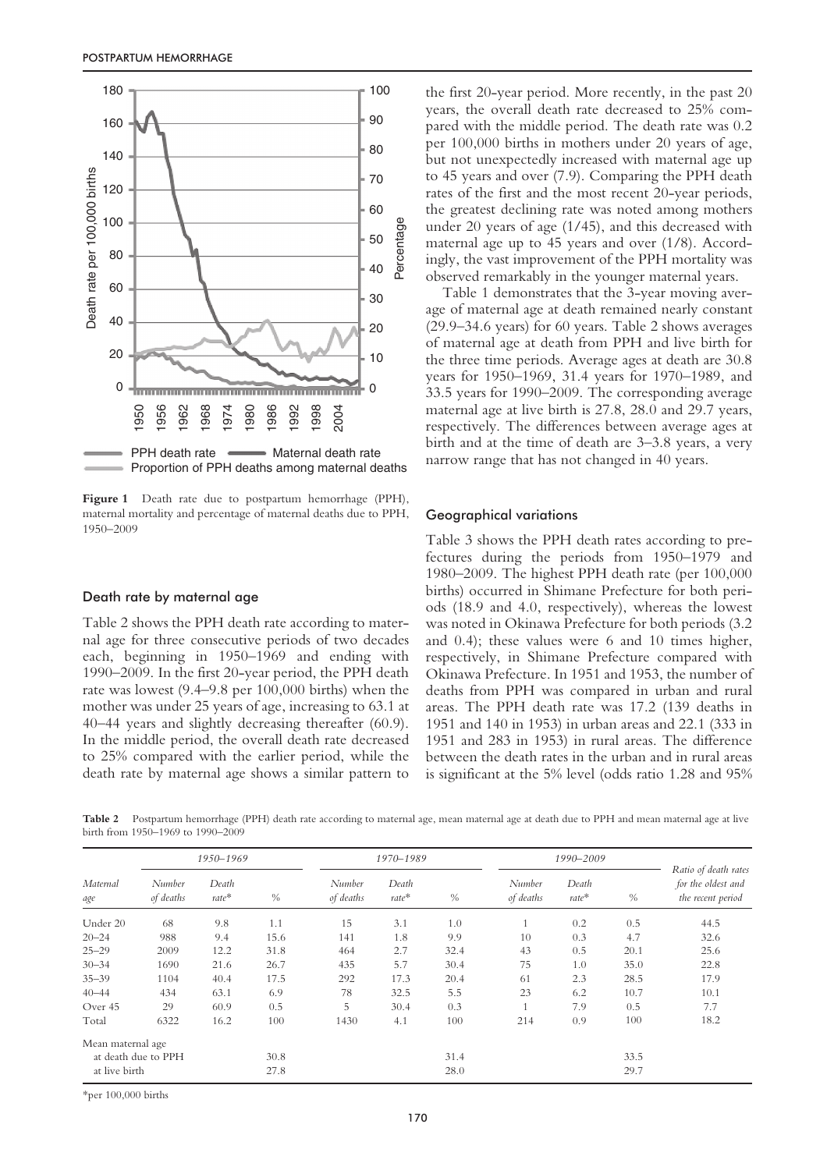

Figure 1 Death rate due to postpartum hemorrhage (PPH), maternal mortality and percentage of maternal deaths due to PPH, 1950–2009

### Death rate by maternal age

Table 2 shows the PPH death rate according to maternal age for three consecutive periods of two decades each, beginning in 1950–1969 and ending with 1990–2009. In the first 20-year period, the PPH death rate was lowest (9.4–9.8 per 100,000 births) when the mother was under 25 years of age, increasing to 63.1 at 40–44 years and slightly decreasing thereafter (60.9). In the middle period, the overall death rate decreased to 25% compared with the earlier period, while the death rate by maternal age shows a similar pattern to

the first 20-year period. More recently, in the past 20 years, the overall death rate decreased to 25% compared with the middle period. The death rate was 0.2 per 100,000 births in mothers under 20 years of age, but not unexpectedly increased with maternal age up to 45 years and over (7.9). Comparing the PPH death rates of the first and the most recent 20-year periods, the greatest declining rate was noted among mothers under 20 years of age (1/45), and this decreased with maternal age up to 45 years and over (1/8). Accordingly, the vast improvement of the PPH mortality was observed remarkably in the younger maternal years.

Table 1 demonstrates that the 3-year moving average of maternal age at death remained nearly constant (29.9–34.6 years) for 60 years. Table 2 shows averages of maternal age at death from PPH and live birth for the three time periods. Average ages at death are 30.8 years for 1950–1969, 31.4 years for 1970–1989, and 33.5 years for 1990–2009. The corresponding average maternal age at live birth is 27.8, 28.0 and 29.7 years, respectively. The differences between average ages at birth and at the time of death are 3–3.8 years, a very narrow range that has not changed in 40 years.

#### Geographical variations

Table 3 shows the PPH death rates according to prefectures during the periods from 1950–1979 and 1980–2009. The highest PPH death rate (per 100,000 births) occurred in Shimane Prefecture for both periods (18.9 and 4.0, respectively), whereas the lowest was noted in Okinawa Prefecture for both periods (3.2 and 0.4); these values were 6 and 10 times higher, respectively, in Shimane Prefecture compared with Okinawa Prefecture. In 1951 and 1953, the number of deaths from PPH was compared in urban and rural areas. The PPH death rate was 17.2 (139 deaths in 1951 and 140 in 1953) in urban areas and 22.1 (333 in 1951 and 283 in 1953) in rural areas. The difference between the death rates in the urban and in rural areas is significant at the 5% level (odds ratio 1.28 and 95%

**Table 2** Postpartum hemorrhage (PPH) death rate according to maternal age, mean maternal age at death due to PPH and mean maternal age at live birth from 1950–1969 to 1990–2009

|                   | 1950-1969           |                |      |                     | 1970-1989        |      | 1990-2009           |                |      |                                                                 |
|-------------------|---------------------|----------------|------|---------------------|------------------|------|---------------------|----------------|------|-----------------------------------------------------------------|
| Maternal<br>age   | Number<br>of deaths | Death<br>rate* | $\%$ | Number<br>of deaths | Death<br>$rate*$ | $\%$ | Number<br>of deaths | Death<br>rate* | $\%$ | Ratio of death rates<br>for the oldest and<br>the recent period |
| Under 20          | 68                  | 9.8            | 1.1  | 15                  | 3.1              | 1.0  |                     | 0.2            | 0.5  | 44.5                                                            |
| $20 - 24$         | 988                 | 9.4            | 15.6 | 141                 | 1.8              | 9.9  | 10                  | 0.3            | 4.7  | 32.6                                                            |
| $25 - 29$         | 2009                | 12.2           | 31.8 | 464                 | 2.7              | 32.4 | 43                  | 0.5            | 20.1 | 25.6                                                            |
| $30 - 34$         | 1690                | 21.6           | 26.7 | 435                 | 5.7              | 30.4 | 75                  | 1.0            | 35.0 | 22.8                                                            |
| $35 - 39$         | 1104                | 40.4           | 17.5 | 292                 | 17.3             | 20.4 | 61                  | 2.3            | 28.5 | 17.9                                                            |
| $40 - 44$         | 434                 | 63.1           | 6.9  | 78                  | 32.5             | 5.5  | 23                  | 6.2            | 10.7 | 10.1                                                            |
| Over 45           | 29                  | 60.9           | 0.5  | 5                   | 30.4             | 0.3  | $\mathbf{1}$        | 7.9            | 0.5  | 7.7                                                             |
| Total             | 6322                | 16.2           | 100  | 1430                | 4.1              | 100  | 214                 | 0.9            | 100  | 18.2                                                            |
| Mean maternal age |                     |                |      |                     |                  |      |                     |                |      |                                                                 |
|                   | at death due to PPH |                | 30.8 |                     |                  | 31.4 |                     |                | 33.5 |                                                                 |
| at live birth     |                     |                | 27.8 |                     |                  | 28.0 |                     |                | 29.7 |                                                                 |

\*per 100,000 births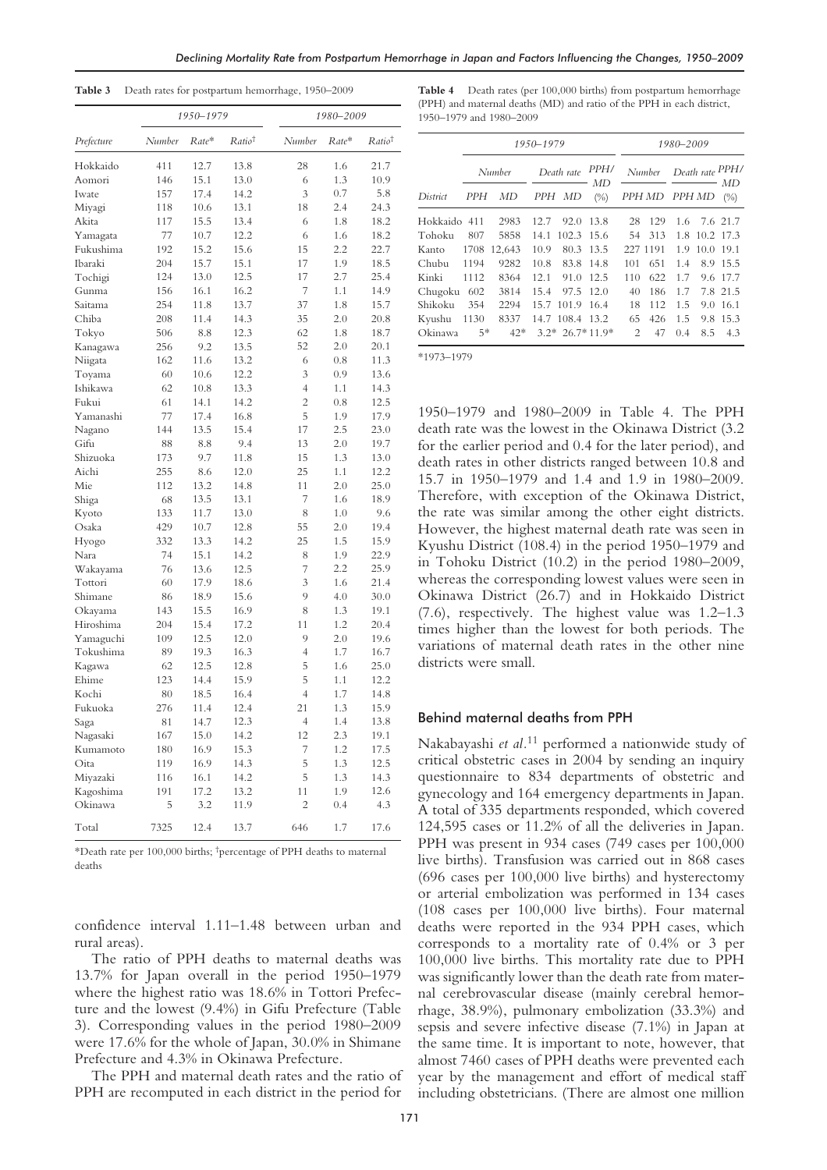*Declining Mortality Rate from Postpartum Hemorrhage in Japan and Factors Influencing the Changes, 1950–2009*

|  |  |  |  | Table 3 Death rates for postpartum hemorrhage, 1950-2009 |  |
|--|--|--|--|----------------------------------------------------------|--|
|--|--|--|--|----------------------------------------------------------|--|

|            |        | 1950–1979 |                    | 1980–2009      |       |                    |  |  |
|------------|--------|-----------|--------------------|----------------|-------|--------------------|--|--|
| Prefecture | Number | $Rate*$   | Ratio <sup>†</sup> | Number         | Rate* | Ratio <sup>†</sup> |  |  |
| Hokkaido   | 411    | 12.7      | 13.8               | 28             | 1.6   | 21.7               |  |  |
| Aomori     | 146    | 15.1      | 13.0               | 6              | 1.3   | 10.9               |  |  |
| Iwate      | 157    | 17.4      | 14.2               | 3              | 0.7   | 5.8                |  |  |
| Miyagi     | 118    | 10.6      | 13.1               | 18             | 2.4   | 24.3               |  |  |
| Akita      | 117    | 15.5      | 13.4               | 6              | 1.8   | 18.2               |  |  |
| Yamagata   | 77     | 10.7      | 12.2               | 6              | 1.6   | 18.2               |  |  |
| Fukushima  | 192    | 15.2      | 15.6               | 15             | 2.2   | 22.7               |  |  |
| Ibaraki    | 204    | 15.7      | 15.1               | 17             | 1.9   | 18.5               |  |  |
| Tochigi    | 124    | 13.0      | 12.5               | 17             | 2.7   | 25.4               |  |  |
| Gunma      | 156    | 16.1      | 16.2               | 7              | 1.1   | 14.9               |  |  |
| Saitama    | 254    | 11.8      | 13.7               | 37             | 1.8   | 15.7               |  |  |
| Chiba      | 208    | 11.4      | 14.3               | 35             | 2.0   | 20.8               |  |  |
| Tokyo      | 506    | 8.8       | 12.3               | 62             | 1.8   | 18.7               |  |  |
| Kanagawa   | 256    | 9.2       | 13.5               | 52             | 2.0   | 20.1               |  |  |
| Niigata    | 162    | 11.6      | 13.2               | 6              | 0.8   | 11.3               |  |  |
| Toyama     | 60     | 10.6      | 12.2               | 3              | 0.9   | 13.6               |  |  |
| Ishikawa   | 62     | 10.8      | 13.3               | 4              | 1.1   | 14.3               |  |  |
| Fukui      | 61     | 14.1      | 14.2               | 2              | 0.8   | 12.5               |  |  |
| Yamanashi  | 77     | 17.4      | 16.8               | 5              | 1.9   | 17.9               |  |  |
| Nagano     | 144    | 13.5      | 15.4               | 17             | 2.5   | 23.0               |  |  |
| Gifu       | 88     | 8.8       | 9.4                | 13             | 2.0   | 19.7               |  |  |
| Shizuoka   | 173    | 9.7       | 11.8               | 15             | 1.3   | 13.0               |  |  |
| Aichi      | 255    | 8.6       | 12.0               | 25             | 1.1   | 12.2               |  |  |
| Mie        | 112    | 13.2      | 14.8               | 11             | 2.0   | 25.0               |  |  |
| Shiga      | 68     | 13.5      | 13.1               | 7              | 1.6   | 18.9               |  |  |
| Kyoto      | 133    | 11.7      | 13.0               | 8              | 1.0   | 9.6                |  |  |
| Osaka      | 429    | 10.7      | 12.8               | 55             | 2.0   | 19.4               |  |  |
| Hyogo      | 332    | 13.3      | 14.2               | 25             | 1.5   | 15.9               |  |  |
| Nara       | 74     | 15.1      | 14.2               | 8              | 1.9   | 22.9               |  |  |
| Wakayama   | 76     | 13.6      | 12.5               | 7              | 2.2   | 25.9               |  |  |
| Tottori    | 60     | 17.9      | 18.6               | 3              | 1.6   | 21.4               |  |  |
| Shimane    | 86     | 18.9      | 15.6               | 9              | 4.0   | 30.0               |  |  |
| Okayama    | 143    | 15.5      | 16.9               | 8              | 1.3   | 19.1               |  |  |
| Hiroshima  | 204    | 15.4      | 17.2               | 11             | 1.2   | 20.4               |  |  |
| Yamaguchi  | 109    | 12.5      | 12.0               | 9              | 2.0   | 19.6               |  |  |
| Tokushima  | 89     | 19.3      | 16.3               | 4              | 1.7   | 16.7               |  |  |
| Kagawa     | 62     | 12.5      | 12.8               | 5              | 1.6   | 25.0               |  |  |
| Ehime      | 123    | 14.4      | 15.9               | 5              | 1.1   | 12.2               |  |  |
| Kochi      | 80     | 18.5      | 16.4               | 4              | 1.7   | 14.8               |  |  |
| Fukuoka    | 276    | 11.4      | 12.4               | 21             | 1.3   | 15.9               |  |  |
| Saga       | 81     | 14.7      | 12.3               | $\overline{4}$ | 1.4   | 13.8               |  |  |
| Nagasaki   | 167    | 15.0      | 14.2               | 12             | 2.3   | 19.1               |  |  |
| Kumamoto   | 180    | 16.9      | 15.3               | 7              | 1.2   | 17.5               |  |  |
| Oita       | 119    | 16.9      | 14.3               | 5              | 1.3   | 12.5               |  |  |
| Miyazaki   | 116    | 16.1      | 14.2               | 5              | 1.3   | 14.3               |  |  |
| Kagoshima  | 191    | 17.2      | 13.2               | 11             | 1.9   | 12.6               |  |  |
| Okinawa    | 5      | 3.2       | 11.9               | 2              | 0.4   | 4.3                |  |  |
| Total      | 7325   | 12.4      | 13.7               | 646            | 1.7   | 17.6               |  |  |

\*Death rate per 100,000 births; † percentage of PPH deaths to maternal deaths

confidence interval 1.11–1.48 between urban and rural areas).

The ratio of PPH deaths to maternal deaths was 13.7% for Japan overall in the period 1950–1979 where the highest ratio was 18.6% in Tottori Prefecture and the lowest (9.4%) in Gifu Prefecture (Table 3). Corresponding values in the period 1980–2009 were 17.6% for the whole of Japan, 30.0% in Shimane Prefecture and 4.3% in Okinawa Prefecture.

The PPH and maternal death rates and the ratio of PPH are recomputed in each district in the period for

**Table 4** Death rates (per 100,000 births) from postpartum hemorrhage (PPH) and maternal deaths (MD) and ratio of the PPH in each district, 1950–1979 and 1980–2009

| 1950–1979 |        |        |            |                  |            |               | 1980-2009     |                 |           |               |  |  |
|-----------|--------|--------|------------|------------------|------------|---------------|---------------|-----------------|-----------|---------------|--|--|
|           | Number |        | Death rate |                  | PPH/<br>MD | Number        |               | Death rate PPH/ |           | МD            |  |  |
| District  | PPH    | МD     | PPH        | MD               | (% )       |               | PPH MD PPH MD |                 |           | $(\%)$        |  |  |
| Hokkaido  | 411    | 2983   | 12.7       | 92.0             | 13.8       | 28            | 129           | 1.6             |           | 7.6 21.7      |  |  |
| Tohoku    | 807    | 5858   | 14.1       | 102.3            | 15.6       | 54            | 313           |                 |           | 1.8 10.2 17.3 |  |  |
| Kanto     | 1708   | 12.643 | 10.9       | 80.3             | 13.5       |               | 227 1191      | 1.9             | 10.0 19.1 |               |  |  |
| Chubu     | 1194   | 9282   | 10.8       | 83.8             | 14.8       | 101           | 651           | 1.4             |           | 8.9 15.5      |  |  |
| Kinki     | 1112   | 8364   | 12.1       | 91.0             | 12.5       | 110           | 622           | 1.7             |           | 9.6 17.7      |  |  |
| Chugoku   | 602    | 3814   | 15.4       | 97.5             | 12.0       | 40            | 186           | 1.7             |           | 7.8 21.5      |  |  |
| Shikoku   | 354    | 2294   |            | 15.7 101.9       | 16.4       | 18            | 112           | 1.5             |           | 9.0 16.1      |  |  |
| Kyushu    | 1130   | 8337   |            | 14.7 108.4 13.2  |            | 65            | 426           | 1.5             |           | 9.8 15.3      |  |  |
| Okinawa   | $5*$   | $42*$  |            | $3.2*26.7*11.9*$ |            | $\mathcal{L}$ | 47            | 0.4             | 8.5       | 4.3           |  |  |

\*1973–1979

1950–1979 and 1980–2009 in Table 4. The PPH death rate was the lowest in the Okinawa District (3.2 for the earlier period and 0.4 for the later period), and death rates in other districts ranged between 10.8 and 15.7 in 1950–1979 and 1.4 and 1.9 in 1980–2009. Therefore, with exception of the Okinawa District, the rate was similar among the other eight districts. However, the highest maternal death rate was seen in Kyushu District (108.4) in the period 1950–1979 and in Tohoku District (10.2) in the period 1980–2009, whereas the corresponding lowest values were seen in Okinawa District (26.7) and in Hokkaido District (7.6), respectively. The highest value was 1.2–1.3 times higher than the lowest for both periods. The variations of maternal death rates in the other nine districts were small.

### Behind maternal deaths from PPH

Nakabayashi *et al.*<sup>11</sup> performed a nationwide study of critical obstetric cases in 2004 by sending an inquiry questionnaire to 834 departments of obstetric and gynecology and 164 emergency departments in Japan. A total of 335 departments responded, which covered 124,595 cases or 11.2% of all the deliveries in Japan. PPH was present in 934 cases (749 cases per 100,000 live births). Transfusion was carried out in 868 cases (696 cases per 100,000 live births) and hysterectomy or arterial embolization was performed in 134 cases (108 cases per 100,000 live births). Four maternal deaths were reported in the 934 PPH cases, which corresponds to a mortality rate of 0.4% or 3 per 100,000 live births. This mortality rate due to PPH was significantly lower than the death rate from maternal cerebrovascular disease (mainly cerebral hemorrhage, 38.9%), pulmonary embolization (33.3%) and sepsis and severe infective disease (7.1%) in Japan at the same time. It is important to note, however, that almost 7460 cases of PPH deaths were prevented each year by the management and effort of medical staff including obstetricians. (There are almost one million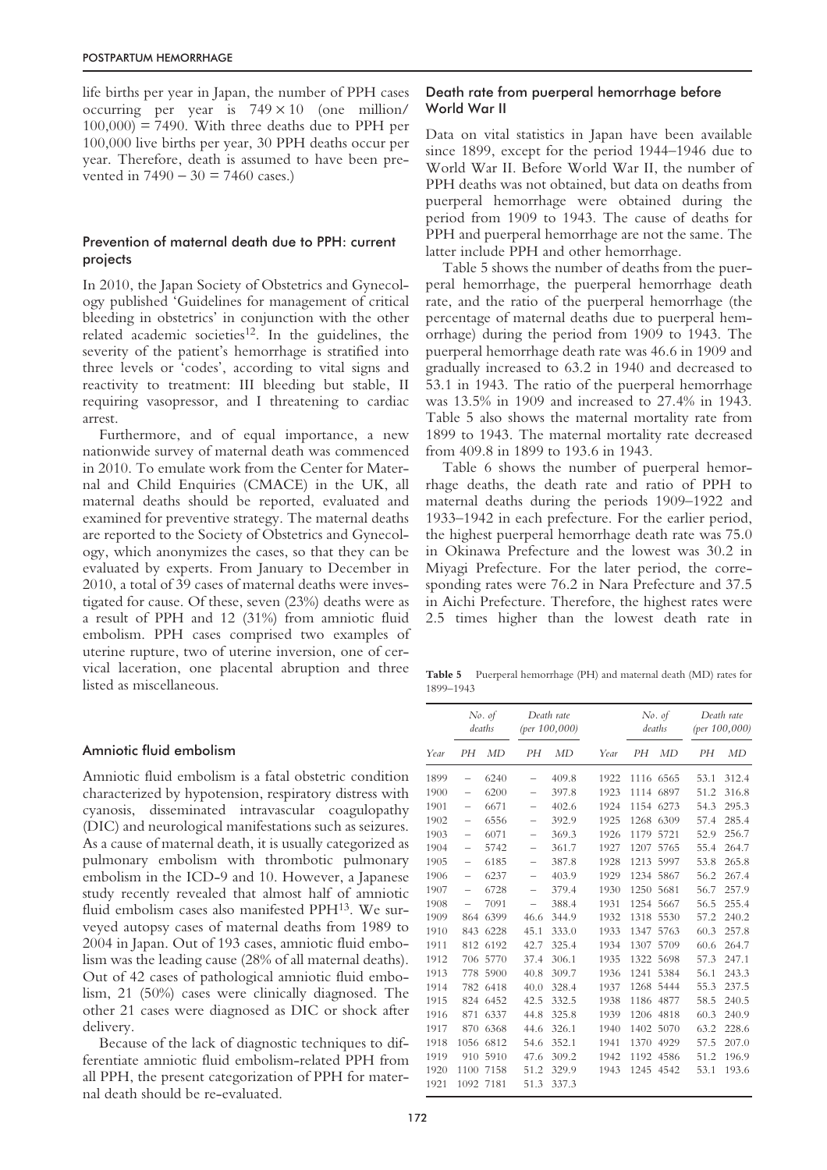life births per year in Japan, the number of PPH cases occurring per year is  $749 \times 10$  (one million/  $100,000$  = 7490. With three deaths due to PPH per 100,000 live births per year, 30 PPH deaths occur per year. Therefore, death is assumed to have been prevented in  $7490 - 30 = 7460$  cases.)

## Prevention of maternal death due to PPH: current projects

In 2010, the Japan Society of Obstetrics and Gynecology published 'Guidelines for management of critical bleeding in obstetrics' in conjunction with the other related academic societies<sup>12</sup>. In the guidelines, the severity of the patient's hemorrhage is stratified into three levels or 'codes', according to vital signs and reactivity to treatment: III bleeding but stable, II requiring vasopressor, and I threatening to cardiac arrest.

Furthermore, and of equal importance, a new nationwide survey of maternal death was commenced in 2010. To emulate work from the Center for Maternal and Child Enquiries (CMACE) in the UK, all maternal deaths should be reported, evaluated and examined for preventive strategy. The maternal deaths are reported to the Society of Obstetrics and Gynecology, which anonymizes the cases, so that they can be evaluated by experts. From January to December in 2010, a total of 39 cases of maternal deaths were investigated for cause. Of these, seven (23%) deaths were as a result of PPH and 12 (31%) from amniotic fluid embolism. PPH cases comprised two examples of uterine rupture, two of uterine inversion, one of cervical laceration, one placental abruption and three listed as miscellaneous.

## Amniotic fluid embolism

Amniotic fluid embolism is a fatal obstetric condition characterized by hypotension, respiratory distress with cyanosis, disseminated intravascular coagulopathy (DIC) and neurological manifestations such as seizures. As a cause of maternal death, it is usually categorized as pulmonary embolism with thrombotic pulmonary embolism in the ICD-9 and 10. However, a Japanese study recently revealed that almost half of amniotic fluid embolism cases also manifested PPH13. We surveyed autopsy cases of maternal deaths from 1989 to 2004 in Japan. Out of 193 cases, amniotic fluid embolism was the leading cause (28% of all maternal deaths). Out of 42 cases of pathological amniotic fluid embolism, 21 (50%) cases were clinically diagnosed. The other 21 cases were diagnosed as DIC or shock after delivery.

Because of the lack of diagnostic techniques to differentiate amniotic fluid embolism-related PPH from all PPH, the present categorization of PPH for maternal death should be re-evaluated.

## Death rate from puerperal hemorrhage before World War II

Data on vital statistics in Japan have been available since 1899, except for the period 1944–1946 due to World War II. Before World War II, the number of PPH deaths was not obtained, but data on deaths from puerperal hemorrhage were obtained during the period from 1909 to 1943. The cause of deaths for PPH and puerperal hemorrhage are not the same. The latter include PPH and other hemorrhage.

Table 5 shows the number of deaths from the puerperal hemorrhage, the puerperal hemorrhage death rate, and the ratio of the puerperal hemorrhage (the percentage of maternal deaths due to puerperal hemorrhage) during the period from 1909 to 1943. The puerperal hemorrhage death rate was 46.6 in 1909 and gradually increased to 63.2 in 1940 and decreased to 53.1 in 1943. The ratio of the puerperal hemorrhage was 13.5% in 1909 and increased to 27.4% in 1943. Table 5 also shows the maternal mortality rate from 1899 to 1943. The maternal mortality rate decreased from 409.8 in 1899 to 193.6 in 1943.

Table 6 shows the number of puerperal hemorrhage deaths, the death rate and ratio of PPH to maternal deaths during the periods 1909–1922 and 1933–1942 in each prefecture. For the earlier period, the highest puerperal hemorrhage death rate was 75.0 in Okinawa Prefecture and the lowest was 30.2 in Miyagi Prefecture. For the later period, the corresponding rates were 76.2 in Nara Prefecture and 37.5 in Aichi Prefecture. Therefore, the highest rates were 2.5 times higher than the lowest death rate in

**Table 5** Puerperal hemorrhage (PH) and maternal death (MD) rates for 1899–1943

|      |                          | No. of<br>deaths |                          | Death rate<br>(per $100,000$ ) |      | No. of<br>deaths |      |      | Death rate<br>(per $100,000$ ) |  |  |
|------|--------------------------|------------------|--------------------------|--------------------------------|------|------------------|------|------|--------------------------------|--|--|
| Year | PН                       | MD               | PН                       | MD                             | Year | PН               | MD   | PН   | MD                             |  |  |
| 1899 | $\overline{\phantom{0}}$ | 6240             |                          | 409.8                          | 1922 | 1116             | 6565 | 53.1 | 312.4                          |  |  |
| 1900 |                          | 6200             | —                        | 397.8                          | 1923 | 1114             | 6897 | 51.2 | 316.8                          |  |  |
| 1901 | $\qquad \qquad$          | 6671             | $\overline{\phantom{0}}$ | 402.6                          | 1924 | 1154             | 6273 | 54.3 | 295.3                          |  |  |
| 1902 | $\qquad \qquad$          | 6556             | $\overline{\phantom{0}}$ | 392.9                          | 1925 | 1268             | 6309 | 57.4 | 285.4                          |  |  |
| 1903 | $\qquad \qquad -$        | 6071             | $\overline{\phantom{0}}$ | 369.3                          | 1926 | 1179             | 5721 | 52.9 | 256.7                          |  |  |
| 1904 | $\overline{\phantom{0}}$ | 5742             | $\overline{\phantom{0}}$ | 361.7                          | 1927 | 1207             | 5765 | 55.4 | 264.7                          |  |  |
| 1905 |                          | 6185             | -                        | 387.8                          | 1928 | 1213             | 5997 | 53.8 | 265.8                          |  |  |
| 1906 | $\overline{\phantom{0}}$ | 6237             | —                        | 403.9                          | 1929 | 1234             | 5867 | 56.2 | 267.4                          |  |  |
| 1907 | $\overline{\phantom{0}}$ | 6728             | $\overline{\phantom{0}}$ | 379.4                          | 1930 | 1250             | 5681 | 56.7 | 257.9                          |  |  |
| 1908 | $\overline{\phantom{0}}$ | 7091             |                          | 388.4                          | 1931 | 1254             | 5667 | 56.5 | 255.4                          |  |  |
| 1909 | 864                      | 6399             | 46.6                     | 344.9                          | 1932 | 1318             | 5530 | 57.2 | 240.2                          |  |  |
| 1910 | 843                      | 6228             | 45.1                     | 333.0                          | 1933 | 1347             | 5763 | 60.3 | 257.8                          |  |  |
| 1911 | 812                      | 6192             | 42.7                     | 325.4                          | 1934 | 1307             | 5709 | 60.6 | 264.7                          |  |  |
| 1912 | 706                      | 5770             | 37.4                     | 306.1                          | 1935 | 1322             | 5698 | 57.3 | 247.1                          |  |  |
| 1913 | 778                      | 5900             | 40.8                     | 309.7                          | 1936 | 1241             | 5384 | 56.1 | 243.3                          |  |  |
| 1914 | 782                      | 6418             | 40.0                     | 328.4                          | 1937 | 1268             | 5444 | 55.3 | 237.5                          |  |  |
| 1915 | 824                      | 6452             | 42.5                     | 332.5                          | 1938 | 1186             | 4877 | 58.5 | 240.5                          |  |  |
| 1916 | 871                      | 6337             | 44.8                     | 325.8                          | 1939 | 1206             | 4818 | 60.3 | 240.9                          |  |  |
| 1917 | 870                      | 6368             | 44.6                     | 326.1                          | 1940 | 1402             | 5070 | 63.2 | 228.6                          |  |  |
| 1918 | 1056                     | 6812             | 54.6                     | 352.1                          | 1941 | 1370             | 4929 | 57.5 | 207.0                          |  |  |
| 1919 | 910                      | 5910             | 47.6                     | 309.2                          | 1942 | 1192             | 4586 | 51.2 | 196.9                          |  |  |
| 1920 | 1100                     | 7158             | 51.2                     | 329.9                          | 1943 | 1245             | 4542 | 53.1 | 193.6                          |  |  |
| 1921 | 1092                     | 7181             | 51.3                     | 337.3                          |      |                  |      |      |                                |  |  |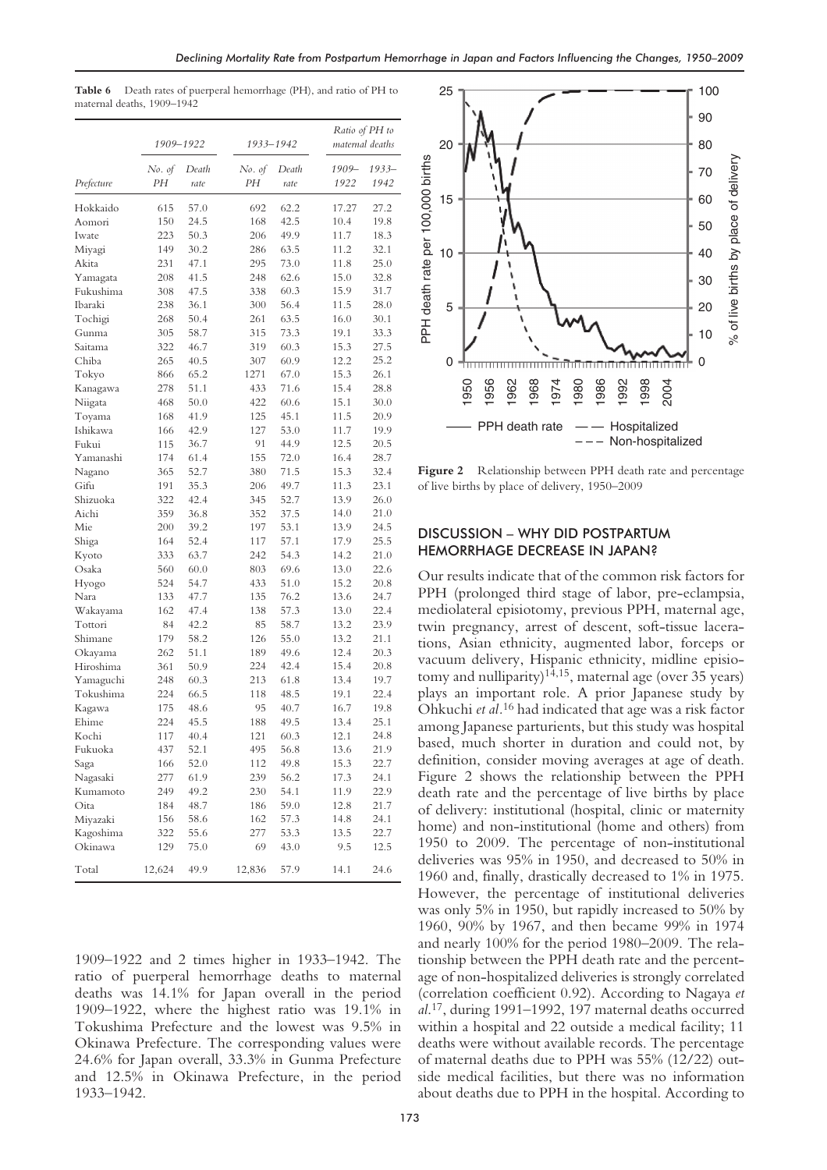**Table 6** Death rates of puerperal hemorrhage (PH), and ratio of PH to maternal deaths, 1909–1942

|                     | 1909-1922    | 1933–1942     |              |               |  | Ratio of PH to<br>maternal deaths |                  |  |
|---------------------|--------------|---------------|--------------|---------------|--|-----------------------------------|------------------|--|
| Prefecture          | No. of<br>PН | Death<br>rate | No. of<br>PН | Death<br>rate |  | 1909-<br>1922                     | $1933 -$<br>1942 |  |
| Hokkaido            | 615          | 57.0          | 692          | 62.2          |  | 17.27                             | 27.2             |  |
| Aomori              | 150          | 24.5          | 168          | 42.5          |  | 10.4                              | 19.8             |  |
| Iwate               | 223          | 50.3          | 206          | 49.9          |  | 11.7                              | 18.3             |  |
| Miyagi              | 149          | 30.2          | 286          | 63.5          |  | 11.2                              | 32.1             |  |
| Akita               | 231          | 47.1          | 295          | 73.0          |  | 11.8                              | 25.0             |  |
| Yamagata            | 208          | 41.5          | 248          | 62.6          |  | 15.0                              | 32.8             |  |
| Fukushima           | 308          | 47.5          | 338          | 60.3          |  | 15.9                              | 31.7             |  |
| Ibaraki             | 238          | 36.1          | 300          | 56.4          |  | 11.5                              | 28.0             |  |
| Tochigi             | 268          | 50.4          | 261          | 63.5          |  | 16.0                              | 30.1             |  |
| Gunma               | 305          | 58.7          | 315          | 73.3          |  | 19.1                              | 33.3             |  |
| Saitama             | 322          | 46.7          | 319          | 60.3          |  | 15.3                              | 27.5             |  |
| Chiba               | 265          | 40.5          | 307          | 60.9          |  | 12.2                              | 25.2             |  |
| Tokyo               | 866          | 65.2          | 1271         | 67.0          |  | 15.3                              | 26.1             |  |
| Kanagawa            | 278          | 51.1          | 433          | 71.6          |  | 15.4                              | 28.8             |  |
| Niigata             | 468          | 50.0          | 422          | 60.6          |  | 15.1                              | 30.0             |  |
| Tovama              | 168          | 41.9          | 125          | 45.1          |  | 11.5                              | 20.9             |  |
| Ishikawa            | 166          | 42.9          | 127          | 53.0          |  | 11.7                              | 19.9             |  |
| Fukui               | 115          | 36.7          | 91           | 44.9          |  | 12.5                              | 20.5             |  |
| Yamanashi           | 174          | 61.4          | 155          | 72.0          |  | 16.4                              | 28.7             |  |
| Nagano              | 365          | 52.7          | 380          | 71.5          |  | 15.3                              | 32.4             |  |
| Gifu                | 191          | 35.3          | 206          | 49.7          |  | 11.3                              | 23.1             |  |
| Shizuoka            | 322          | 42.4          | 345          | 52.7          |  | 13.9                              | 26.0             |  |
| Aichi               | 359          | 36.8          | 352          | 37.5          |  | 14.0                              | 21.0             |  |
| Mie                 | 200          | 39.2          | 197          | 53.1          |  | 13.9                              | 24.5             |  |
| Shiga               | 164          | 52.4          | 117          | 57.1          |  | 17.9                              | 25.5             |  |
| Kyoto               | 333          | 63.7          | 242          | 54.3          |  | 14.2                              | 21.0             |  |
| Osaka               | 560          | 60.0          | 803          | 69.6          |  | 13.0                              | 22.6             |  |
| Hyogo               | 524          | 54.7          | 433          | 51.0          |  | 15.2                              | 20.8             |  |
| Nara                | 133          | 47.7          | 135          | 76.2          |  | 13.6                              | 24.7             |  |
|                     | 162          | 47.4          | 138          | 57.3          |  | 13.0                              | 22.4             |  |
| Wakayama<br>Tottori | 84           | 42.2          | 85           | 58.7          |  | 13.2                              | 23.9             |  |
| Shimane             | 179          | 58.2          | 126          | 55.0          |  | 13.2                              | 21.1             |  |
| Okayama             | 262          | 51.1          | 189          | 49.6          |  | 12.4                              | 20.3             |  |
| Hiroshima           | 361          | 50.9          | 224          | 42.4          |  | 15.4                              | 20.8             |  |
| Yamaguchi           | 248          | 60.3          | 213          | 61.8          |  | 13.4                              | 19.7             |  |
| Tokushima           | 224          | 66.5          | 118          | 48.5          |  | 19.1                              | 22.4             |  |
| Kagawa              | 175          | 48.6          | 95           | 40.7          |  | 16.7                              | 19.8             |  |
| Ehime               | 224          | 45.5          | 188          | 49.5          |  | 13.4                              | 25.1             |  |
| Kochi               | 117          | 40.4          | 121          | 60.3          |  | 12.1                              | 24.8             |  |
|                     |              |               | 495          |               |  |                                   |                  |  |
| Fukuoka             | 437          | 52.1          |              | 56.8          |  | 13.6                              | 21.9             |  |
| Saga                | 166          | 52.0          | 112          | 49.8          |  | 15.3                              | 22.7<br>24.1     |  |
| Nagasaki            | 277          | 61.9          | 239          | 56.2          |  | 17.3                              |                  |  |
| Kumamoto            | 249          | 49.2          | 230          | 54.1          |  | 11.9                              | 22.9             |  |
| Oita                | 184          | 48.7          | 186          | 59.0          |  | 12.8                              | 21.7             |  |
| Miyazaki            | 156          | 58.6          | 162          | 57.3          |  | 14.8                              | 24.1             |  |
| Kagoshima           | 322          | 55.6          | 277          | 53.3          |  | 13.5                              | 22.7             |  |
| Okinawa             | 129          | 75.0          | 69           | 43.0          |  | 9.5                               | 12.5             |  |
| Total               | 12,624       | 49.9          | 12,836       | 57.9          |  | 14.1                              | 24.6             |  |

1909–1922 and 2 times higher in 1933–1942. The ratio of puerperal hemorrhage deaths to maternal deaths was 14.1% for Japan overall in the period 1909–1922, where the highest ratio was 19.1% in Tokushima Prefecture and the lowest was 9.5% in Okinawa Prefecture. The corresponding values were 24.6% for Japan overall, 33.3% in Gunma Prefecture and 12.5% in Okinawa Prefecture, in the period 1933–1942.



Figure 2 Relationship between PPH death rate and percentage of live births by place of delivery, 1950–2009

## DISCUSSION – WHY DID POSTPARTUM HEMORRHAGE DECREASE IN JAPAN?

Our results indicate that of the common risk factors for PPH (prolonged third stage of labor, pre-eclampsia, mediolateral episiotomy, previous PPH, maternal age, twin pregnancy, arrest of descent, soft-tissue lacerations, Asian ethnicity, augmented labor, forceps or vacuum delivery, Hispanic ethnicity, midline episiotomy and nulliparity)<sup>14,15</sup>, maternal age (over 35 years) plays an important role. A prior Japanese study by Ohkuchi *et al.*<sup>16</sup> had indicated that age was a risk factor among Japanese parturients, but this study was hospital based, much shorter in duration and could not, by definition, consider moving averages at age of death. Figure 2 shows the relationship between the PPH death rate and the percentage of live births by place of delivery: institutional (hospital, clinic or maternity home) and non-institutional (home and others) from 1950 to 2009. The percentage of non-institutional deliveries was 95% in 1950, and decreased to 50% in 1960 and, finally, drastically decreased to 1% in 1975. However, the percentage of institutional deliveries was only 5% in 1950, but rapidly increased to 50% by 1960, 90% by 1967, and then became 99% in 1974 and nearly 100% for the period 1980–2009. The relationship between the PPH death rate and the percentage of non-hospitalized deliveries is strongly correlated (correlation coefficient 0.92). According to Nagaya *et al*. 17, during 1991–1992, 197 maternal deaths occurred within a hospital and 22 outside a medical facility; 11 deaths were without available records. The percentage of maternal deaths due to PPH was 55% (12/22) outside medical facilities, but there was no information about deaths due to PPH in the hospital. According to